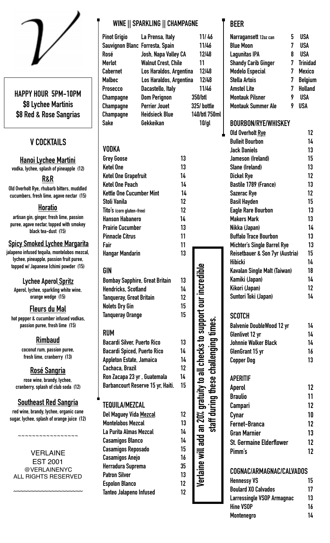

**HAPPY HOUR 5PM-10PM \$8 Lychee Martinis \$8 Red & Rose Sangrias** 

# **V COCKTAILS**

**Hanoi Lychee Martini vodka, lychee, splash of pineapple (12)** 

**R&R**

**Old Overholt Rye, rhubarb bitters, muddled cucumbers, fresh lime, agave nectar (15)** 

# **Horatio**

**artisan gin, ginger, fresh lime, passion puree, agave nectar, topped with smokey black tea-dust (15)** 

#### **Spicy Smoked Lychee Margarita**

**jalapeno infused tequila, montelobos mezcal, lychee, pineapple, passion fruit puree, topped w/ Japanese Ichimi powder (15)** 

**Lychee Aperol Spritz Aperol, lychee, sparkling white wine, orange wedge (15)** 

# **Fleurs du Mal**

**hot pepper & cucumber infused vodkas, passion puree, fresh lime (15)** 

# **Rimbaud**

**coconut rum, passion puree, fresh lime, cranberry (13)** 

#### **Rosé Sangria**

**rose wine, brandy, lychee, cranberry, splash of club soda (12)** 

# **Southeast Red Sangria**

**red wine, brandy, lychee, organic cane sugar, lychee, splash of orange juice (12)** 

**~~~~~~~~~~~~~~~~~** 

VERLAINE EST 2001 @VERLAINENYC ALL RIGHTS RESERVED

~~~~~~~~~~~~~~~~~~~

# **WINE || SPARKLING || CHAMPAGNE**

|                                                                                                                                                                                                            | WINE    SPAKKLINU    LHAMPAUNE                                                                                                                                                                                                         |          |                                                                                                              |
|------------------------------------------------------------------------------------------------------------------------------------------------------------------------------------------------------------|----------------------------------------------------------------------------------------------------------------------------------------------------------------------------------------------------------------------------------------|----------|--------------------------------------------------------------------------------------------------------------|
| <b>Pinot Grigio</b><br>Sauvignon Blanc Forresta, Spain<br>Rosé<br><b>Merlot</b><br><b>Cabernet</b><br><b>Malbec</b><br><b>Prosecco</b><br><b>Champagne</b><br>Champagne<br><b>Champagne</b><br><b>Sake</b> | La Prensa, Italy<br>Josh, Napa Valley CA<br><b>Walnut Crest, Chile</b><br>Los Haraldos, Argentina<br>Los Haraldos, Argentina<br>Dacastello, Italy<br><b>Dom Perignon</b><br><b>Perrier Jouet</b><br><b>Heidsieck Blue</b><br>Gekkeikan |          | 11/46<br>11/46<br>12/48<br>11<br>12/48<br>12/48<br>11/46<br>350/btl<br>325/ bottle<br>140/btl 750ml<br>10/ql |
| VODKA                                                                                                                                                                                                      |                                                                                                                                                                                                                                        |          |                                                                                                              |
| <b>Grey Goose</b>                                                                                                                                                                                          |                                                                                                                                                                                                                                        | 13       |                                                                                                              |
| <b>Ketel One</b>                                                                                                                                                                                           |                                                                                                                                                                                                                                        | 13       |                                                                                                              |
| <b>Ketel One Grapefruit</b>                                                                                                                                                                                |                                                                                                                                                                                                                                        | 14       |                                                                                                              |
| <b>Ketel One Peach</b>                                                                                                                                                                                     |                                                                                                                                                                                                                                        | 14       |                                                                                                              |
| <b>Kettle One Cucumber Mint</b>                                                                                                                                                                            |                                                                                                                                                                                                                                        | 14       |                                                                                                              |
| <b>Stoli Vanila</b>                                                                                                                                                                                        |                                                                                                                                                                                                                                        | 12       |                                                                                                              |
| Tito's (corn gluten-free)                                                                                                                                                                                  |                                                                                                                                                                                                                                        | 12       |                                                                                                              |
| <b>Hanson Habanero</b>                                                                                                                                                                                     |                                                                                                                                                                                                                                        | 14       |                                                                                                              |
| <b>Prairie Cucumber</b>                                                                                                                                                                                    |                                                                                                                                                                                                                                        | 13       |                                                                                                              |
| <b>Pinnacle Citrus</b>                                                                                                                                                                                     |                                                                                                                                                                                                                                        | 11       |                                                                                                              |
| Fair                                                                                                                                                                                                       |                                                                                                                                                                                                                                        | 11<br>13 |                                                                                                              |
| <b>Hangar Mandarin</b>                                                                                                                                                                                     |                                                                                                                                                                                                                                        |          |                                                                                                              |
| <b>GIN</b>                                                                                                                                                                                                 |                                                                                                                                                                                                                                        |          |                                                                                                              |
| <b>Bombay Sapphire, Great Britain</b>                                                                                                                                                                      |                                                                                                                                                                                                                                        | 13       |                                                                                                              |
| <b>Hendricks, Scotland</b>                                                                                                                                                                                 |                                                                                                                                                                                                                                        | 14       |                                                                                                              |
| <b>Tanqueray, Great Britain</b>                                                                                                                                                                            |                                                                                                                                                                                                                                        | 12       |                                                                                                              |
| <b>Nolets Dry Gin</b>                                                                                                                                                                                      |                                                                                                                                                                                                                                        | 15       | ort our increa                                                                                               |
| <b>Tanqueray Orange</b>                                                                                                                                                                                    |                                                                                                                                                                                                                                        | 15       |                                                                                                              |
| <b>RUM</b>                                                                                                                                                                                                 |                                                                                                                                                                                                                                        |          | checks to supp                                                                                               |
| <b>Bacardi Silver, Puerto Rico</b>                                                                                                                                                                         |                                                                                                                                                                                                                                        | 13       |                                                                                                              |
| <b>Bacardi Spiced, Puerto Rico</b>                                                                                                                                                                         |                                                                                                                                                                                                                                        | 14       |                                                                                                              |
| Appleton Estate, Jamaica                                                                                                                                                                                   |                                                                                                                                                                                                                                        | 14       |                                                                                                              |
| <b>Cachaca, Brazil</b>                                                                                                                                                                                     |                                                                                                                                                                                                                                        | 12       |                                                                                                              |
| Ron Zacapa 23 yr, Guatemala                                                                                                                                                                                |                                                                                                                                                                                                                                        | 14       |                                                                                                              |
| Barbancourt Reserve 15 yr, Haiti.                                                                                                                                                                          |                                                                                                                                                                                                                                        | 15       |                                                                                                              |
| <b>TEQUILA/MEZCAL</b>                                                                                                                                                                                      |                                                                                                                                                                                                                                        |          |                                                                                                              |
|                                                                                                                                                                                                            |                                                                                                                                                                                                                                        | 12       |                                                                                                              |
| <b>Del Maguey Vida Mezcal</b><br><b>Montelobos Mezcal</b>                                                                                                                                                  |                                                                                                                                                                                                                                        | 13       |                                                                                                              |
| La Purita Almas Mezcal                                                                                                                                                                                     |                                                                                                                                                                                                                                        | 14       |                                                                                                              |
| <b>Casamigos Blanco</b>                                                                                                                                                                                    |                                                                                                                                                                                                                                        | 14       | add                                                                                                          |
| <b>Casamigos Reposado</b>                                                                                                                                                                                  |                                                                                                                                                                                                                                        | 15       |                                                                                                              |
| <b>Casamigos Anejo</b>                                                                                                                                                                                     |                                                                                                                                                                                                                                        | 16       |                                                                                                              |
| Herradura Suprema                                                                                                                                                                                          |                                                                                                                                                                                                                                        | 35       |                                                                                                              |
| <b>Patron Silver</b>                                                                                                                                                                                       |                                                                                                                                                                                                                                        | 13       |                                                                                                              |
| <b>Espolon Blanco</b>                                                                                                                                                                                      |                                                                                                                                                                                                                                        | 12       |                                                                                                              |

# **GIN**

| <b>Bombay Sapphire, Great Britain</b> |    |
|---------------------------------------|----|
| <b>Hendricks, Scotland</b>            | 14 |
| Tanqueray, Great Britain              | 12 |
| <b>Nolets Dry Gin</b>                 | 15 |
| <b>Tanqueray Orange</b>               | 15 |

#### **RUM**

# **TEQUILA/MEZCAL**

| <b>Del Maguey Vida Mezcal</b>  | 12 |
|--------------------------------|----|
| <b>Montelobos Mezcal</b>       | 13 |
| La Purita Almas Mezcal         | 14 |
| <b>Casamigos Blanco</b>        | 14 |
| <b>Casamigos Reposado</b>      | 15 |
| <b>Casamigos Anejo</b>         | 16 |
| Herradura Suprema              | 35 |
| <b>Patron Silver</b>           | 13 |
| <b>Espolon Blanco</b>          | 12 |
| <b>Tanteo Jalapeno Infused</b> | 12 |

# **BEER**

| Narragansett 12oz can      | 5 | USA             |
|----------------------------|---|-----------------|
| <b>Blue Moon</b>           | 7 | USA             |
| Lagunitas IPA              | 8 | USA             |
| <b>Shandy Carib Ginger</b> | 7 | <b>Trinidad</b> |
| <b>Modelo Especial</b>     | 7 | <b>Mexico</b>   |
| <b>Stella Artois</b>       | 7 | <b>Belgium</b>  |
| <b>Amstel Lite</b>         | 7 | <b>Holland</b>  |
| <b>Montauk Pilsner</b>     | 9 | <b>USA</b>      |
| <b>Montauk Summer Ale</b>  | g | <b>USA</b>      |

## **BOURBON/RYE/WHISKEY**

| Old Overholt Rye                           | 12 |
|--------------------------------------------|----|
| <b>Bulleit Bourbon</b>                     | 14 |
| <b>Jack Daniels</b>                        | 13 |
| Jameson (Ireland)                          | 15 |
| Slane (Ireland)                            | 13 |
| <b>Dickel Rye</b>                          | 12 |
| Bastile 1789 (France)                      | 13 |
| <b>Sazerac Rye</b>                         | 12 |
| <b>Basil Hayden</b>                        | 15 |
| <b>Eagle Rare Bourbon</b>                  | 13 |
| <b>Makers Mark</b>                         | 13 |
| Nikka (Japan)                              | 14 |
| <b>Buffalo Trace Bourbon</b>               | 13 |
| Michter's Single Barrel Rye                | 13 |
| <b>Reisetbauer &amp; Son 7yr (Austria)</b> | 15 |
| <b>Hibicki</b>                             | 14 |
| Kavalan Single Malt (Taiwan)               | 18 |
| Kamiki (Japan)                             | 14 |
| Kikori (Japan)                             | 12 |
| Suntori Toki (Japan)                       | 14 |
| SCOTCH                                     |    |
| <b>Balvenie DoubleWood 12 yr</b>           | 14 |
| <b>Glenlivet 12 yr</b>                     | 14 |
| <b>Johnnie Walker Black</b>                | 14 |
| GlenGrant 15 yr                            | 16 |
| <b>Copper Dog</b>                          | 13 |
| <b>APERITIF</b>                            |    |
| Aperol                                     | 12 |
| <b>Braulio</b>                             | 11 |
| Campari                                    | 12 |
| Cynar                                      | 10 |
| Fernet-Branca                              | 12 |
| Gran Marnier                               | 13 |
| <b>St. Germaine Elderflower</b>            | 12 |
| Pimm's                                     | 12 |
|                                            |    |
| COGNAC/ARMAGNAC/CALVADOS                   |    |
| Honnoccy VC                                | 15 |

| <b>Hennessy VS</b>         | 15 |
|----------------------------|----|
| <b>Boulard XO Calvados</b> | 17 |
| Larressingle VSOP Armagnac | 13 |
| <b>Hine VSOP</b>           | 16 |
| <b>Montenegro</b>          | 14 |